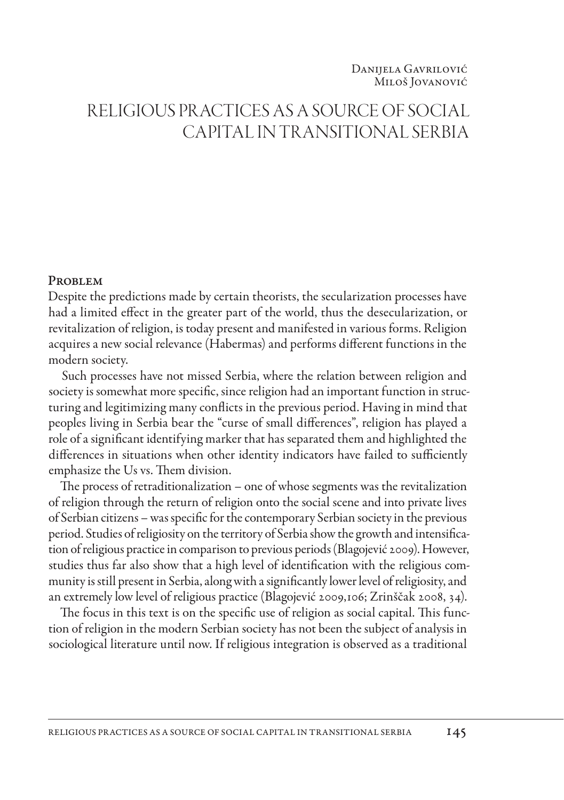# RELIGIOUS PRACTICES AS A SOURCE OF SOCIAL CAPITAL IN TRANSITIONAL SERBIA

#### **PROBLEM**

Despite the predictions made by certain theorists, the secularization processes have had a limited effect in the greater part of the world, thus the desecularization, or revitalization of religion, is today present and manifested in various forms. Religion acquires a new social relevance (Habermas) and performs different functions in the modern society.

Such processes have not missed Serbia, where the relation between religion and society is somewhat more specific, since religion had an important function in structuring and legitimizing many conflicts in the previous period. Having in mind that peoples living in Serbia bear the "curse of small differences", religion has played a role of a significant identifying marker that has separated them and highlighted the differences in situations when other identity indicators have failed to sufficiently emphasize the Us vs. Them division.

The process of retraditionalization – one of whose segments was the revitalization of religion through the return of religion onto the social scene and into private lives of Serbian citizens – was specific for the contemporary Serbian society in the previous period. Studies of religiosity on the territory of Serbia show the growth and intensification of religious practice in comparison to previous periods (Blagojević 2009). However, studies thus far also show that a high level of identification with the religious community is still present in Serbia, along with a significantly lower level of religiosity, and an extremely low level of religious practice (Blagojević 2009,106; Zrinščak 2008, 34).

The focus in this text is on the specific use of religion as social capital. This function of religion in the modern Serbian society has not been the subject of analysis in sociological literature until now. If religious integration is observed as a traditional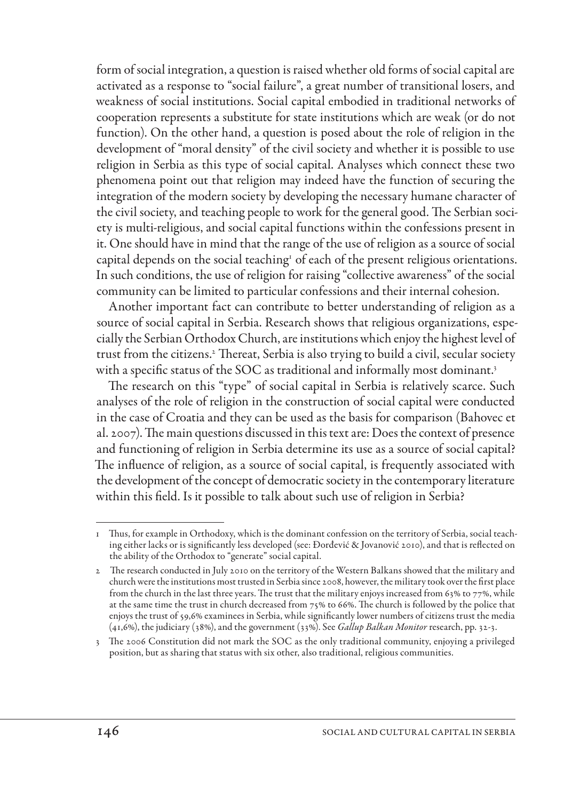form of social integration, a question is raised whether old forms of social capital are activated as a response to "social failure", a great number of transitional losers, and weakness of social institutions. Social capital embodied in traditional networks of cooperation represents a substitute for state institutions which are weak (or do not function). On the other hand, a question is posed about the role of religion in the development of "moral density" of the civil society and whether it is possible to use religion in Serbia as this type of social capital. Analyses which connect these two phenomena point out that religion may indeed have the function of securing the integration of the modern society by developing the necessary humane character of the civil society, and teaching people to work for the general good. The Serbian society is multi-religious, and social capital functions within the confessions present in it. One should have in mind that the range of the use of religion as a source of social capital depends on the social teaching<sup>1</sup> of each of the present religious orientations. In such conditions, the use of religion for raising "collective awareness" of the social community can be limited to particular confessions and their internal cohesion.

Another important fact can contribute to better understanding of religion as a source of social capital in Serbia. Research shows that religious organizations, especially the Serbian Orthodox Church, are institutions which enjoy the highest level of trust from the citizens.2 Thereat, Serbia is also trying to build a civil, secular society with a specific status of the SOC as traditional and informally most dominant.<sup>3</sup>

The research on this "type" of social capital in Serbia is relatively scarce. Such analyses of the role of religion in the construction of social capital were conducted in the case of Croatia and they can be used as the basis for comparison (Bahovec et al. 2007). The main questions discussed in this text are: Does the context of presence and functioning of religion in Serbia determine its use as a source of social capital? The influence of religion, as a source of social capital, is frequently associated with the development of the concept of democratic society in the contemporary literature within this field. Is it possible to talk about such use of religion in Serbia?

<sup>1</sup> Thus, for example in Orthodoxy, which is the dominant confession on the territory of Serbia, social teaching either lacks or is significantly less developed (see: Đorđević & Jovanović 2010), and that is reflected on the ability of the Orthodox to "generate" social capital.

<sup>2</sup> The research conducted in July 2010 on the territory of the Western Balkans showed that the military and church were the institutions most trusted in Serbia since 2008, however, the military took over the first place from the church in the last three years. The trust that the military enjoys increased from 63% to 77%, while at the same time the trust in church decreased from 75% to 66%. The church is followed by the police that enjoys the trust of 59,6% examinees in Serbia, while significantly lower numbers of citizens trust the media (41,6%), the judiciary (38%), and the government (33%). See *Gallup Balkan Monitor* research, pp. 32-3.

<sup>3</sup> The 2006 Constitution did not mark the SOC as the only traditional community, enjoying a privileged position, but as sharing that status with six other, also traditional, religious communities.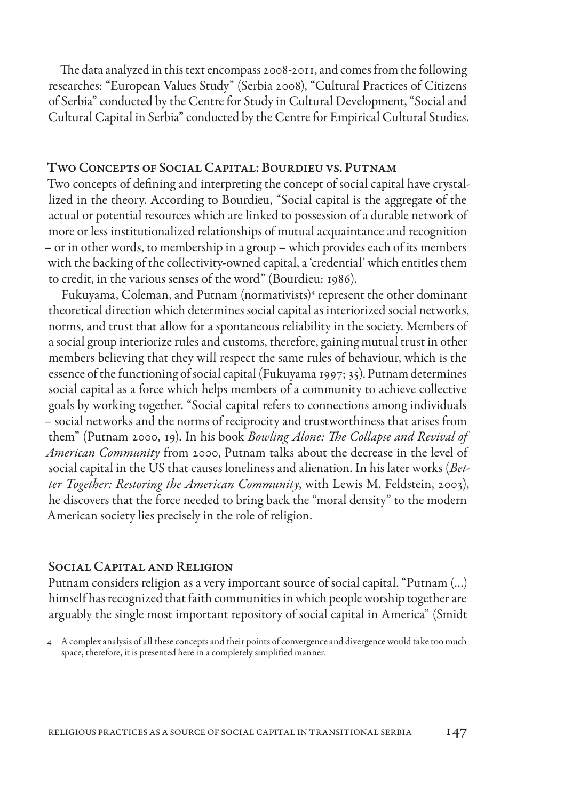The data analyzed in this text encompass 2008-2011, and comes from the following researches: "European Values Study" (Serbia 2008), "Cultural Practices of Citizens of Serbia" conducted by the Centre for Study in Cultural Development, "Social and Cultural Capital in Serbia" conducted by the Centre for Empirical Cultural Studies.

## TWO CONCEPTS OF SOCIAL CAPITAL: BOURDIEU VS. PUTNAM

Two concepts of defining and interpreting the concept of social capital have crystallized in the theory. According to Bourdieu, "Social capital is the aggregate of the actual or potential resources which are linked to possession of a durable network of more or less institutionalized relationships of mutual acquaintance and recognition – or in other words, to membership in a group – which provides each of its members with the backing of the collectivity-owned capital, a 'credential' which entitles them to credit, in the various senses of the word" (Bourdieu: 1986).

Fukuyama, Coleman, and Putnam (normativists)<sup>4</sup> represent the other dominant theoretical direction which determines social capital as interiorized social networks, norms, and trust that allow for a spontaneous reliability in the society. Members of a social group interiorize rules and customs, therefore, gaining mutual trust in other members believing that they will respect the same rules of behaviour, which is the essence of the functioning of social capital (Fukuyama 1997; 35). Putnam determines social capital as a force which helps members of a community to achieve collective goals by working together. "Social capital refers to connections among individuals – social networks and the norms of reciprocity and trustworthiness that arises from them" (Putnam 2000, 19). In his book *Bowling Alone: The Collapse and Revival of American Community* from 2000, Putnam talks about the decrease in the level of social capital in the US that causes loneliness and alienation. In his later works (*Better Together: Restoring the American Community*, with Lewis M. Feldstein, 2003), he discovers that the force needed to bring back the "moral density" to the modern American society lies precisely in the role of religion.

## SOCIAL CAPITAL AND RELIGION

Putnam considers religion as a very important source of social capital. "Putnam (…) himself has recognized that faith communities in which people worship together are arguably the single most important repository of social capital in America" (Smidt

<sup>4</sup> A complex analysis of all these concepts and their points of convergence and divergence would take too much space, therefore, it is presented here in a completely simplified manner.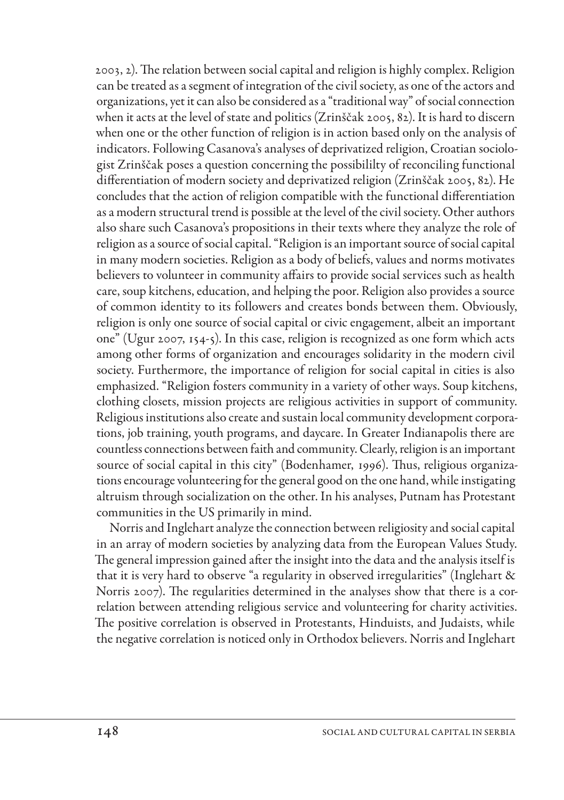2003, 2). The relation between social capital and religion is highly complex. Religion can be treated as a segment of integration of the civil society, as one of the actors and organizations, yet it can also be considered as a "traditional way" of social connection when it acts at the level of state and politics (Zrinščak 2005, 82). It is hard to discern when one or the other function of religion is in action based only on the analysis of indicators. Following Casanova's analyses of deprivatized religion, Croatian sociologist Zrinščak poses a question concerning the possibililty of reconciling functional differentiation of modern society and deprivatized religion (Zrinščak 2005, 82). He concludes that the action of religion compatible with the functional differentiation as a modern structural trend is possible at the level of the civil society. Other authors also share such Casanova's propositions in their texts where they analyze the role of religion as a source of social capital. "Religion is an important source of social capital in many modern societies. Religion as a body of beliefs, values and norms motivates believers to volunteer in community affairs to provide social services such as health care, soup kitchens, education, and helping the poor. Religion also provides a source of common identity to its followers and creates bonds between them. Obviously, religion is only one source of social capital or civic engagement, albeit an important one" (Ugur 2007, 154-5). In this case, religion is recognized as one form which acts among other forms of organization and encourages solidarity in the modern civil society. Furthermore, the importance of religion for social capital in cities is also emphasized. "Religion fosters community in a variety of other ways. Soup kitchens, clothing closets, mission projects are religious activities in support of community. Religious institutions also create and sustain local community development corporations, job training, youth programs, and daycare. In Greater Indianapolis there are countless connections between faith and community. Clearly, religion is an important source of social capital in this city" (Bodenhamer, 1996). Thus, religious organizations encourage volunteering for the general good on the one hand, while instigating altruism through socialization on the other. In his analyses, Putnam has Protestant communities in the US primarily in mind.

Norris and Inglehart analyze the connection between religiosity and social capital in an array of modern societies by analyzing data from the European Values Study. The general impression gained after the insight into the data and the analysis itself is that it is very hard to observe "a regularity in observed irregularities" (Inglehart & Norris 2007). The regularities determined in the analyses show that there is a correlation between attending religious service and volunteering for charity activities. The positive correlation is observed in Protestants, Hinduists, and Judaists, while the negative correlation is noticed only in Orthodox believers. Norris and Inglehart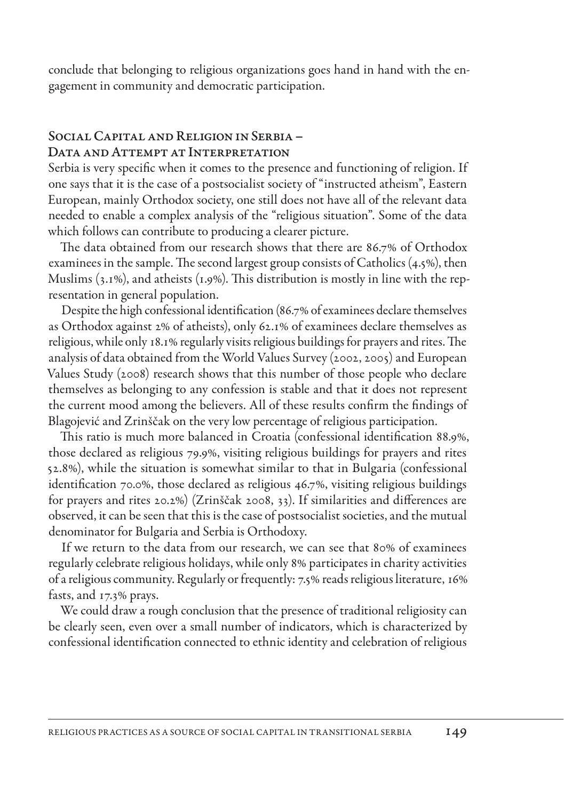conclude that belonging to religious organizations goes hand in hand with the engagement in community and democratic participation.

## Social Capital and Religion in Serbia-DATA AND ATTEMPT AT INTERPRETATION

Serbia is very specific when it comes to the presence and functioning of religion. If one says that it is the case of a postsocialist society of "instructed atheism", Eastern European, mainly Orthodox society, one still does not have all of the relevant data needed to enable a complex analysis of the "religious situation". Some of the data which follows can contribute to producing a clearer picture.

The data obtained from our research shows that there are 86.7% of Orthodox examinees in the sample. The second largest group consists of Catholics (4.5%), then Muslims (3.1%), and atheists (1.9%). This distribution is mostly in line with the representation in general population.

Despite the high confessional identification (86.7% of examinees declare themselves as Orthodox against 2% of atheists), only 62.1% of examinees declare themselves as religious, while only 18.1% regularly visits religious buildings for prayers and rites. The analysis of data obtained from the World Values Survey (2002, 2005) and European Values Study (2008) research shows that this number of those people who declare themselves as belonging to any confession is stable and that it does not represent the current mood among the believers. All of these results confirm the findings of Blagojević and Zrinščak on the very low percentage of religious participation.

This ratio is much more balanced in Croatia (confessional identification 88.9%, those declared as religious 79.9%, visiting religious buildings for prayers and rites 52.8%), while the situation is somewhat similar to that in Bulgaria (confessional identification 70.0%, those declared as religious 46.7%, visiting religious buildings for prayers and rites 20.2%) (Zrinščak 2008, 33). If similarities and differences are observed, it can be seen that this is the case of postsocialist societies, and the mutual denominator for Bulgaria and Serbia is Orthodoxy.

If we return to the data from our research, we can see that 80% of examinees regularly celebrate religious holidays, while only 8% participates in charity activities of a religious community. Regularly or frequently: 7.5% reads religious literature, 16% fasts, and 17.3% prays.

We could draw a rough conclusion that the presence of traditional religiosity can be clearly seen, even over a small number of indicators, which is characterized by confessional identification connected to ethnic identity and celebration of religious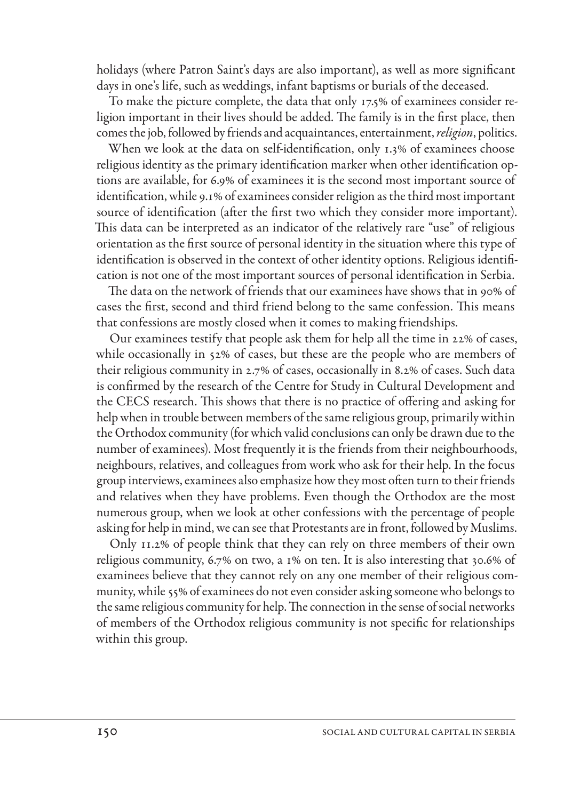holidays (where Patron Saint's days are also important), as well as more significant days in one's life, such as weddings, infant baptisms or burials of the deceased.

To make the picture complete, the data that only 17.5% of examinees consider religion important in their lives should be added. The family is in the first place, then comes the job, followed by friends and acquaintances, entertainment, *religion*, politics.

When we look at the data on self-identification, only 1.3% of examinees choose religious identity as the primary identification marker when other identification options are available, for 6.9% of examinees it is the second most important source of identification, while 9.1% of examinees consider religion as the third most important source of identification (after the first two which they consider more important). This data can be interpreted as an indicator of the relatively rare "use" of religious orientation as the first source of personal identity in the situation where this type of identification is observed in the context of other identity options. Religious identification is not one of the most important sources of personal identification in Serbia.

The data on the network of friends that our examinees have shows that in 90% of cases the first, second and third friend belong to the same confession. This means that confessions are mostly closed when it comes to making friendships.

Our examinees testify that people ask them for help all the time in 22% of cases, while occasionally in 52% of cases, but these are the people who are members of their religious community in 2.7% of cases, occasionally in 8.2% of cases. Such data is confirmed by the research of the Centre for Study in Cultural Development and the CECS research. This shows that there is no practice of offering and asking for help when in trouble between members of the same religious group, primarily within the Orthodox community (for which valid conclusions can only be drawn due to the number of examinees). Most frequently it is the friends from their neighbourhoods, neighbours, relatives, and colleagues from work who ask for their help. In the focus group interviews, examinees also emphasize how they most often turn to their friends and relatives when they have problems. Even though the Orthodox are the most numerous group, when we look at other confessions with the percentage of people asking for help in mind, we can see that Protestants are in front, followed by Muslims.

Only 11.2% of people think that they can rely on three members of their own religious community, 6.7% on two, a 1% on ten. It is also interesting that 30.6% of examinees believe that they cannot rely on any one member of their religious community, while 55% of examinees do not even consider asking someone who belongs to the same religious community for help. The connection in the sense of social networks of members of the Orthodox religious community is not specific for relationships within this group.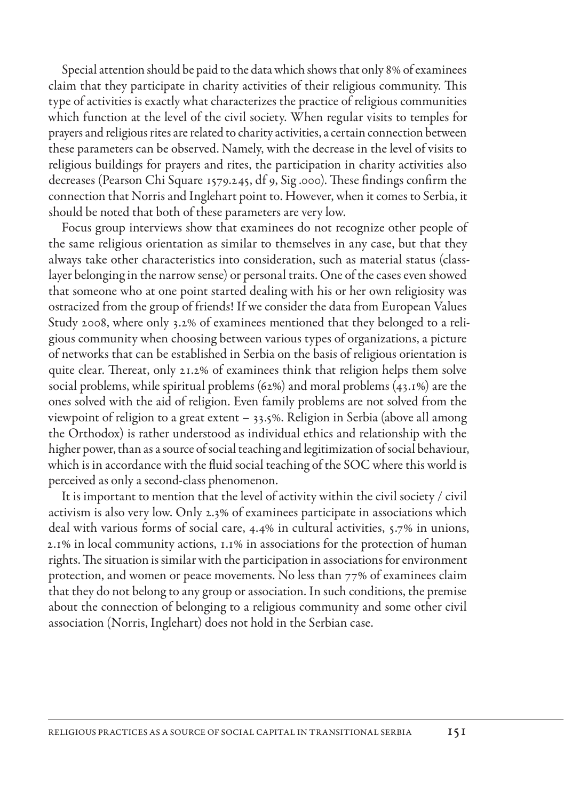Special attention should be paid to the data which shows that only 8% of examinees claim that they participate in charity activities of their religious community. This type of activities is exactly what characterizes the practice of religious communities which function at the level of the civil society. When regular visits to temples for prayers and religious rites are related to charity activities, a certain connection between these parameters can be observed. Namely, with the decrease in the level of visits to religious buildings for prayers and rites, the participation in charity activities also decreases (Pearson Chi Square 1579.245, df 9, Sig .000). These findings confirm the connection that Norris and Inglehart point to. However, when it comes to Serbia, it should be noted that both of these parameters are very low.

Focus group interviews show that examinees do not recognize other people of the same religious orientation as similar to themselves in any case, but that they always take other characteristics into consideration, such as material status (classlayer belonging in the narrow sense) or personal traits. One of the cases even showed that someone who at one point started dealing with his or her own religiosity was ostracized from the group of friends! If we consider the data from European Values Study 2008, where only 3.2% of examinees mentioned that they belonged to a religious community when choosing between various types of organizations, a picture of networks that can be established in Serbia on the basis of religious orientation is quite clear. Thereat, only 21.2% of examinees think that religion helps them solve social problems, while spiritual problems (62%) and moral problems (43.1%) are the ones solved with the aid of religion. Even family problems are not solved from the viewpoint of religion to a great extent – 33.5%. Religion in Serbia (above all among the Orthodox) is rather understood as individual ethics and relationship with the higher power, than as a source of social teaching and legitimization of social behaviour, which is in accordance with the fluid social teaching of the SOC where this world is perceived as only a second-class phenomenon.

It is important to mention that the level of activity within the civil society / civil activism is also very low. Only 2.3% of examinees participate in associations which deal with various forms of social care, 4.4% in cultural activities, 5.7% in unions, 2.1% in local community actions, 1.1% in associations for the protection of human rights. The situation is similar with the participation in associations for environment protection, and women or peace movements. No less than 77% of examinees claim that they do not belong to any group or association. In such conditions, the premise about the connection of belonging to a religious community and some other civil association (Norris, Inglehart) does not hold in the Serbian case.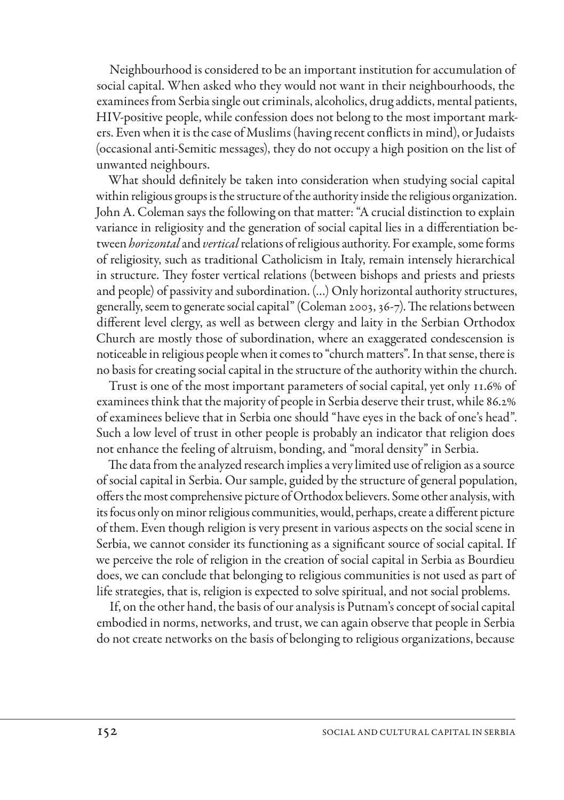Neighbourhood is considered to be an important institution for accumulation of social capital. When asked who they would not want in their neighbourhoods, the examinees from Serbia single out criminals, alcoholics, drug addicts, mental patients, HIV-positive people, while confession does not belong to the most important markers. Even when it is the case of Muslims (having recent conflicts in mind), or Judaists (occasional anti-Semitic messages), they do not occupy a high position on the list of unwanted neighbours.

What should definitely be taken into consideration when studying social capital within religious groups is the structure of the authority inside the religious organization. John A. Coleman says the following on that matter: "A crucial distinction to explain variance in religiosity and the generation of social capital lies in a differentiation between *horizontal* and *vertical* relations of religious authority. For example, some forms of religiosity, such as traditional Catholicism in Italy, remain intensely hierarchical in structure. They foster vertical relations (between bishops and priests and priests and people) of passivity and subordination. (…) Only horizontal authority structures, generally, seem to generate social capital" (Coleman 2003, 36-7). The relations between different level clergy, as well as between clergy and laity in the Serbian Orthodox Church are mostly those of subordination, where an exaggerated condescension is noticeable in religious people when it comes to "church matters". In that sense, there is no basis for creating social capital in the structure of the authority within the church.

Trust is one of the most important parameters of social capital, yet only 11.6% of examinees think that the majority of people in Serbia deserve their trust, while 86.2% of examinees believe that in Serbia one should "have eyes in the back of one's head". Such a low level of trust in other people is probably an indicator that religion does not enhance the feeling of altruism, bonding, and "moral density" in Serbia.

The data from the analyzed research implies a very limited use of religion as a source of social capital in Serbia. Our sample, guided by the structure of general population, offers the most comprehensive picture of Orthodox believers. Some other analysis, with its focus only on minor religious communities, would, perhaps, create a different picture of them. Even though religion is very present in various aspects on the social scene in Serbia, we cannot consider its functioning as a significant source of social capital. If we perceive the role of religion in the creation of social capital in Serbia as Bourdieu does, we can conclude that belonging to religious communities is not used as part of life strategies, that is, religion is expected to solve spiritual, and not social problems.

If, on the other hand, the basis of our analysis is Putnam's concept of social capital embodied in norms, networks, and trust, we can again observe that people in Serbia do not create networks on the basis of belonging to religious organizations, because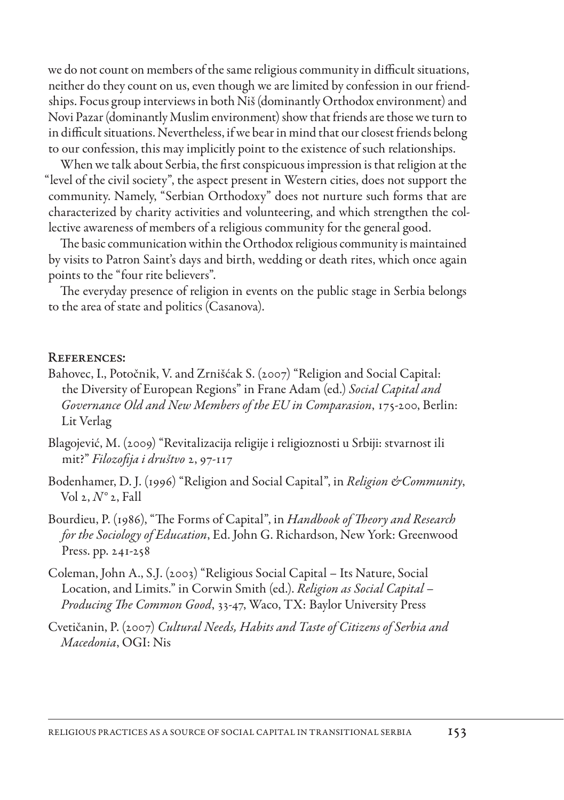we do not count on members of the same religious community in difficult situations, neither do they count on us, even though we are limited by confession in our friendships. Focus group interviews in both Niš (dominantly Orthodox environment) and Novi Pazar (dominantly Muslim environment) show that friends are those we turn to in difficult situations. Nevertheless, if we bear in mind that our closest friends belong to our confession, this may implicitly point to the existence of such relationships.

When we talk about Serbia, the first conspicuous impression is that religion at the "level of the civil society", the aspect present in Western cities, does not support the community. Namely, "Serbian Orthodoxy" does not nurture such forms that are characterized by charity activities and volunteering, and which strengthen the collective awareness of members of a religious community for the general good.

The basic communication within the Orthodox religious community is maintained by visits to Patron Saint's days and birth, wedding or death rites, which once again points to the "four rite believers".

The everyday presence of religion in events on the public stage in Serbia belongs to the area of state and politics (Casanova).

#### References:

- Bahovec, I., Potočnik, V. and Zrnišćak S. (2007) "Religion and Social Capital: the Diversity of European Regions" in Frane Adam (ed.) *Social Capital and Governance Old and New Members of the EU in Comparasion*, 175-200, Berlin: Lit Verlag
- Blagojević, M. (2009) "Revitalizacija religije i religioznosti u Srbiji: stvarnost ili mit?" *Filozofija i društvo* 2, 97-117
- Bodenhamer, D. J. (1996) "Religion and Social Capital", in *Religion &Community*, Vol 2, *N°* 2, Fall
- Bourdieu, P. (1986), "The Forms of Capital", in *Handbook of Theory and Research for the Sociology of Education*, Ed. John G. Richardson, New York: Greenwood Press. pp. 241-258
- Coleman, John A., S.J. (2003) "Religious Social Capital Its Nature, Social Location, and Limits." in Corwin Smith (ed.). *Religion as Social Capital – Producing The Common Good*, 33-47, Waco, TX: Baylor University Press
- Cvetičanin, P. (2007) *Cultural Needs, Habits and Taste of Citizens of Serbia and Macedonia*, OGI: Nis